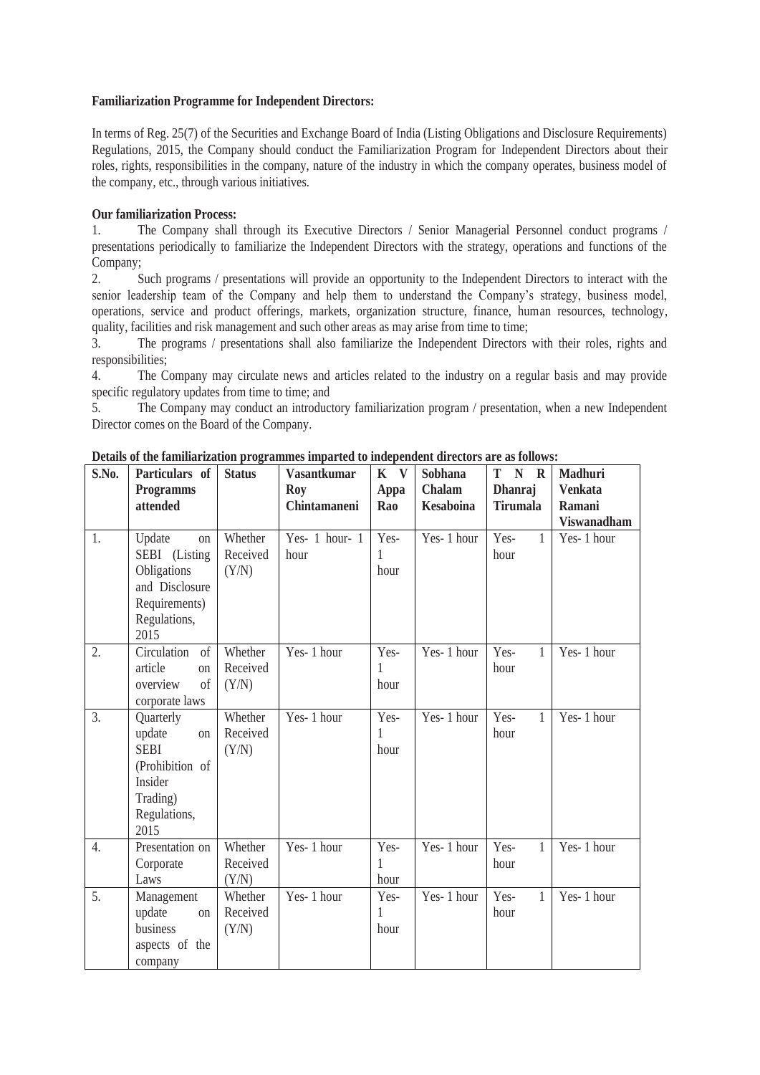## **Familiarization Programme for Independent Directors:**

In terms of Reg. 25(7) of the Securities and Exchange Board of India (Listing Obligations and Disclosure Requirements) Regulations, 2015, the Company should conduct the Familiarization Program for Independent Directors about their roles, rights, responsibilities in the company, nature of the industry in which the company operates, business model of the company, etc., through various initiatives.

## **Our familiarization Process:**

1. The Company shall through its Executive Directors / Senior Managerial Personnel conduct programs / presentations periodically to familiarize the Independent Directors with the strategy, operations and functions of the Company;

2. Such programs / presentations will provide an opportunity to the Independent Directors to interact with the senior leadership team of the Company and help them to understand the Company's strategy, business model, operations, service and product offerings, markets, organization structure, finance, human resources, technology, quality, facilities and risk management and such other areas as may arise from time to time;

3. The programs / presentations shall also familiarize the Independent Directors with their roles, rights and responsibilities;

4. The Company may circulate news and articles related to the industry on a regular basis and may provide specific regulatory updates from time to time; and

5. The Company may conduct an introductory familiarization program / presentation, when a new Independent Director comes on the Board of the Company.

| S.No. | Particulars of          | <b>Status</b> | <b>Vasantkumar</b> | K V  | Sobhana          | T<br>N R             | Madhuri            |
|-------|-------------------------|---------------|--------------------|------|------------------|----------------------|--------------------|
|       | <b>Programms</b>        |               | Roy                | Appa | Chalam           | Dhanraj              | <b>Venkata</b>     |
|       | attended                |               | Chintamaneni       | Rao  | <b>Kesaboina</b> | <b>Tirumala</b>      | Ramani             |
|       |                         |               |                    |      |                  |                      | <b>Viswanadham</b> |
| 1.    | Update<br>on            | Whether       | Yes- 1 hour- 1     | Yes- | Yes-1 hour       | Yes-<br>1            | Yes-1 hour         |
|       | SEBI (Listing           | Received      | hour               | 1    |                  | hour                 |                    |
|       | Obligations             | (Y/N)         |                    | hour |                  |                      |                    |
|       | and Disclosure          |               |                    |      |                  |                      |                    |
|       | Requirements)           |               |                    |      |                  |                      |                    |
|       | Regulations,            |               |                    |      |                  |                      |                    |
|       | 2015                    |               |                    |      |                  |                      |                    |
| 2.    | Circulation<br>of       | Whether       | Yes-1 hour         | Yes- | $Yes-1$ hour     | Yes-<br>$\mathbf{1}$ | Yes-1 hour         |
|       | article<br>on           | Received      |                    | 1    |                  | hour                 |                    |
|       | of<br>overview          | (Y/N)         |                    | hour |                  |                      |                    |
|       | corporate laws          |               |                    |      |                  |                      |                    |
| 3.    | Quarterly               | Whether       | Yes-1 hour         | Yes- | Yes-1 hour       | Yes-<br>1            | Yes-1 hour         |
|       | update<br>on            | Received      |                    | 1    |                  | hour                 |                    |
|       | <b>SEBI</b>             | (Y/N)         |                    | hour |                  |                      |                    |
|       | (Prohibition of         |               |                    |      |                  |                      |                    |
|       | Insider                 |               |                    |      |                  |                      |                    |
|       | Trading)                |               |                    |      |                  |                      |                    |
|       | Regulations,            |               |                    |      |                  |                      |                    |
|       | 2015                    |               |                    |      |                  |                      |                    |
| 4.    | Presentation on         | Whether       | Yes-1 hour         | Yes- | Yes-1 hour       | Yes-<br>1            | Yes-1 hour         |
|       | Corporate               | Received      |                    |      |                  | hour                 |                    |
|       | Laws                    | (Y/N)         |                    | hour |                  |                      |                    |
| 5.    | Management              | Whether       | Yes-1 hour         | Yes- | Yes-1 hour       | Yes-<br>$\mathbf{1}$ | Yes-1 hour         |
|       | update<br><sub>on</sub> | Received      |                    | 1    |                  | hour                 |                    |
|       | business                | (Y/N)         |                    | hour |                  |                      |                    |
|       | aspects of the          |               |                    |      |                  |                      |                    |
|       | company                 |               |                    |      |                  |                      |                    |

**Details of the familiarization programmes imparted to independent directors are as follows:**